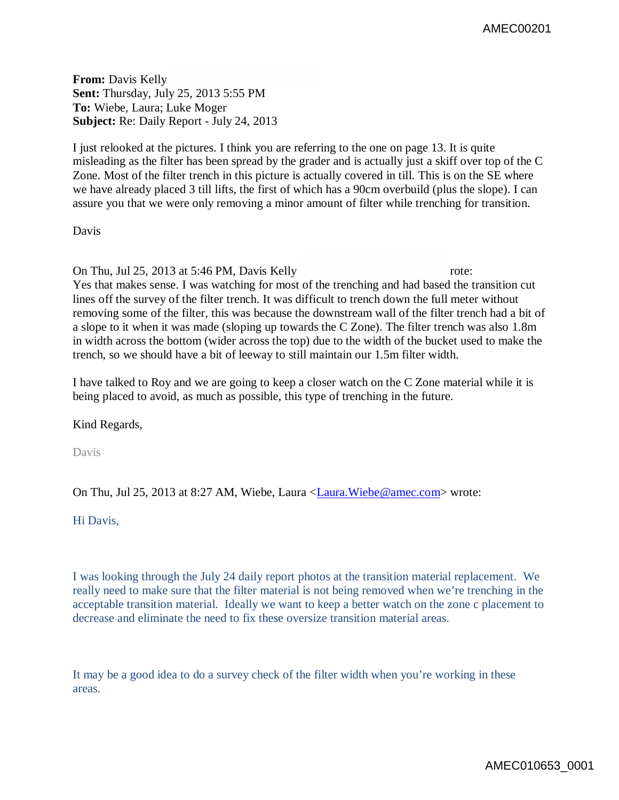**From:** Davis Kelly **Sent:** Thursday, July 25, 2013 5:55 PM **To:** Wiebe, Laura; Luke Moger **Subject:** Re: Daily Report - July 24, 2013

I just relooked at the pictures. I think you are referring to the one on page 13. It is quite misleading as the filter has been spread by the grader and is actually just a skiff over top of the C Zone. Most of the filter trench in this picture is actually covered in till. This is on the SE where we have already placed 3 till lifts, the first of which has a 90cm overbuild (plus the slope). I can assure you that we were only removing a minor amount of filter while trenching for transition.

Davis

On Thu, Jul 25, 2013 at 5:46 PM, Davis Kelly rote: Yes that makes sense. I was watching for most of the trenching and had based the transition cut lines off the survey of the filter trench. It was difficult to trench down the full meter without removing some of the filter, this was because the downstream wall of the filter trench had a bit of a slope to it when it was made (sloping up towards the C Zone). The filter trench was also 1.8m in width across the bottom (wider across the top) due to the width of the bucket used to make the trench, so we should have a bit of leeway to still maintain our 1.5m filter width.

I have talked to Roy and we are going to keep a closer watch on the C Zone material while it is being placed to avoid, as much as possible, this type of trenching in the future.

Kind Regards,

Davis

On Thu, Jul 25, 2013 at 8:27 AM, Wiebe, Laura <Laura.Wiebe@amec.com> wrote:

Hi Davis,

I was looking through the July 24 daily report photos at the transition material replacement. We really need to make sure that the filter material is not being removed when we're trenching in the acceptable transition material. Ideally we want to keep a better watch on the zone c placement to decrease and eliminate the need to fix these oversize transition material areas.

It may be a good idea to do a survey check of the filter width when you're working in these areas.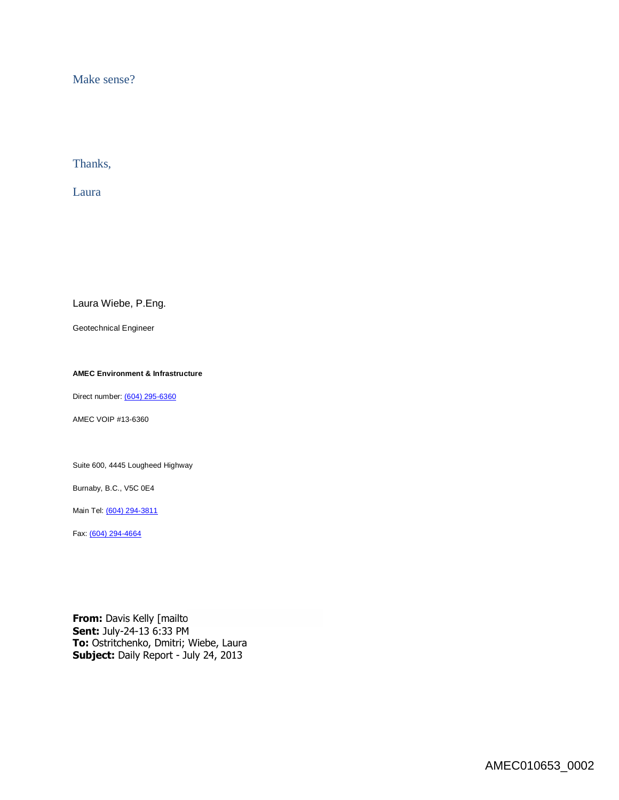Make sense?

Thanks,

Laura

Laura Wiebe, P.Eng.

Geotechnical Engineer

**AMEC Environment & Infrastructure**

Direct number: (604) 295-6360

AMEC VOIP #13-6360

Suite 600, 4445 Lougheed Highway

Burnaby, B.C., V5C 0E4

Main Tel: (604) 294-3811

Fax: (604) 294-4664

**From:** Davis Kelly [mailto **Sent:** July-24-13 6:33 PM **To:** Ostritchenko, Dmitri; Wiebe, Laura **Subject:** Daily Report - July 24, 2013